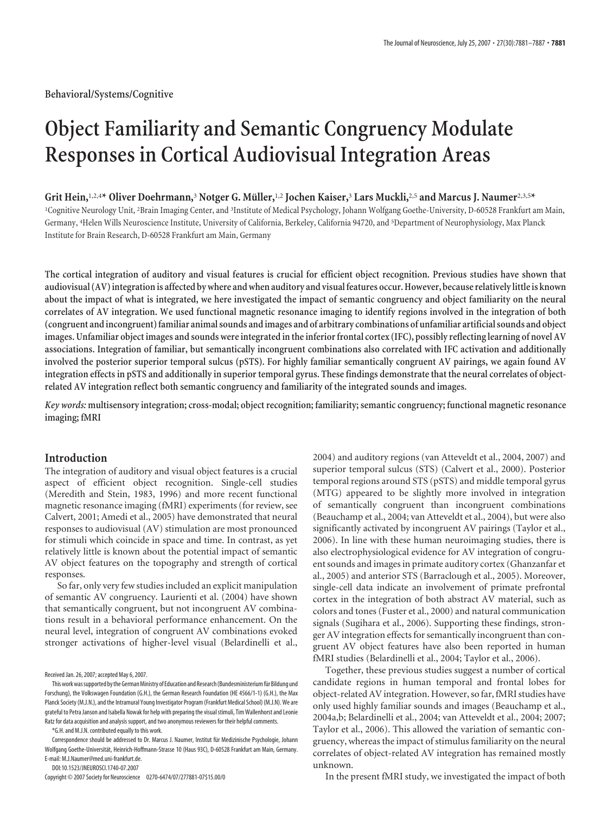# **Object Familiarity and Semantic Congruency Modulate Responses in Cortical Audiovisual Integration Areas**

## **Grit Hein,**1,2,4**\* Oliver Doehrmann,**<sup>3</sup> **Notger G. Mu¨ller,**1,2 **Jochen Kaiser,**<sup>3</sup> **Lars Muckli,**2,5 **and Marcus J. Naumer**2,3,5**\***

<sup>1</sup>Cognitive Neurology Unit, <sup>2</sup>Brain Imaging Center, and <sup>3</sup>Institute of Medical Psychology, Johann Wolfgang Goethe-University, D-60528 Frankfurt am Main, Germany, <sup>4</sup> Helen Wills Neuroscience Institute, University of California, Berkeley, California 94720, and <sup>5</sup> Department of Neurophysiology, Max Planck Institute for Brain Research, D-60528 Frankfurt am Main, Germany

**The cortical integration of auditory and visual features is crucial for efficient object recognition. Previous studies have shown that audiovisual (AV) integration is affected by where and when auditory and visualfeatures occur. However, because relatively little is known about the impact of what is integrated, we here investigated the impact of semantic congruency and object familiarity on the neural correlates of AV integration. We used functional magnetic resonance imaging to identify regions involved in the integration of both (congruent and incongruent)familiar animal sounds and images and of arbitrary combinations of unfamiliar artificial sounds and object images. Unfamiliar object images and sounds were integrated in the inferior frontal cortex (IFC), possibly reflecting learning of novel AV associations. Integration of familiar, but semantically incongruent combinations also correlated with IFC activation and additionally involved the posterior superior temporal sulcus (pSTS). For highly familiar semantically congruent AV pairings, we again found AV integration effects in pSTS and additionally in superior temporal gyrus. These findings demonstrate that the neural correlates of objectrelated AV integration reflect both semantic congruency and familiarity of the integrated sounds and images.**

*Key words:* **multisensory integration; cross-modal; object recognition; familiarity; semantic congruency; functional magnetic resonance imaging; fMRI**

### **Introduction**

The integration of auditory and visual object features is a crucial aspect of efficient object recognition. Single-cell studies (Meredith and Stein, 1983, 1996) and more recent functional magnetic resonance imaging (fMRI) experiments (for review, see Calvert, 2001; Amedi et al., 2005) have demonstrated that neural responses to audiovisual (AV) stimulation are most pronounced for stimuli which coincide in space and time. In contrast, as yet relatively little is known about the potential impact of semantic AV object features on the topography and strength of cortical responses.

So far, only very few studies included an explicit manipulation of semantic AV congruency. Laurienti et al. (2004) have shown that semantically congruent, but not incongruent AV combinations result in a behavioral performance enhancement. On the neural level, integration of congruent AV combinations evoked stronger activations of higher-level visual (Belardinelli et al.,

Received Jan. 26, 2007; accepted May 6, 2007.

DOI:10.1523/JNEUROSCI.1740-07.2007

Copyright © 2007 Society for Neuroscience 0270-6474/07/277881-07\$15.00/0

2004) and auditory regions (van Atteveldt et al., 2004, 2007) and superior temporal sulcus (STS) (Calvert et al., 2000). Posterior temporal regions around STS (pSTS) and middle temporal gyrus (MTG) appeared to be slightly more involved in integration of semantically congruent than incongruent combinations (Beauchamp et al., 2004; van Atteveldt et al., 2004), but were also significantly activated by incongruent AV pairings (Taylor et al., 2006). In line with these human neuroimaging studies, there is also electrophysiological evidence for AV integration of congruent sounds and images in primate auditory cortex (Ghanzanfar et al., 2005) and anterior STS (Barraclough et al., 2005). Moreover, single-cell data indicate an involvement of primate prefrontal cortex in the integration of both abstract AV material, such as colors and tones (Fuster et al., 2000) and natural communication signals (Sugihara et al., 2006). Supporting these findings, stronger AV integration effects for semantically incongruent than congruent AV object features have also been reported in human fMRI studies (Belardinelli et al., 2004; Taylor et al., 2006).

Together, these previous studies suggest a number of cortical candidate regions in human temporal and frontal lobes for object-related AV integration. However, so far, fMRI studies have only used highly familiar sounds and images (Beauchamp et al., 2004a,b; Belardinelli et al., 2004; van Atteveldt et al., 2004; 2007; Taylor et al., 2006). This allowed the variation of semantic congruency, whereas the impact of stimulus familiarity on the neural correlates of object-related AV integration has remained mostly unknown.

In the present fMRI study, we investigated the impact of both

This work was supported by the German Ministry of Education and Research (Bundesministerium für Bildung und Forschung), the Volkswagen Foundation (G.H.), the German Research Foundation (HE 4566/1-1) (G.H.), the Max Planck Society (M.J.N.), and the Intramural Young Investigator Program (Frankfurt Medical School) (M.J.N). We are grateful to Petra Janson and Isabella Nowak for help with preparing the visual stimuli, Tim Wallenhorst and Leonie Ratz for data acquisition and analysis support, and two anonymous reviewers for their helpful comments.

<sup>\*</sup>G.H. and M.J.N. contributed equally to this work.

Correspondence should be addressed to Dr. Marcus J. Naumer, Institut für Medizinische Psychologie, Johann Wolfgang Goethe-Universität, Heinrich-Hoffmann-Strasse 10 (Haus 93C), D-60528 Frankfurt am Main, Germany. E-mail: M.J.Naumer@med.uni-frankfurt.de.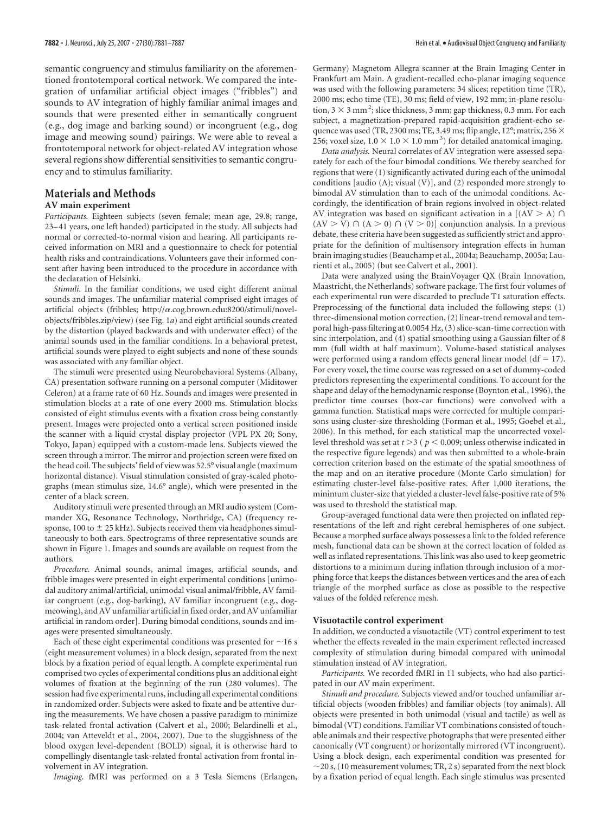semantic congruency and stimulus familiarity on the aforementioned frontotemporal cortical network. We compared the integration of unfamiliar artificial object images ("fribbles") and sounds to AV integration of highly familiar animal images and sounds that were presented either in semantically congruent (e.g., dog image and barking sound) or incongruent (e.g., dog image and meowing sound) pairings. We were able to reveal a frontotemporal network for object-related AV integration whose several regions show differential sensitivities to semantic congruency and to stimulus familiarity.

# **Materials and Methods**

## **AV main experiment**

*Participants.* Eighteen subjects (seven female; mean age, 29.8; range, 23– 41 years, one left handed) participated in the study. All subjects had normal or corrected-to-normal vision and hearing. All participants received information on MRI and a questionnaire to check for potential health risks and contraindications. Volunteers gave their informed consent after having been introduced to the procedure in accordance with the declaration of Helsinki.

*Stimuli.* In the familiar conditions, we used eight different animal sounds and images. The unfamiliar material comprised eight images of artificial objects (fribbles; http:// $\alpha$ .cog.brown.edu:8200/stimuli/novelobjects/fribbles.zip/view) (see Fig. 1*a*) and eight artificial sounds created by the distortion (played backwards and with underwater effect) of the animal sounds used in the familiar conditions. In a behavioral pretest, artificial sounds were played to eight subjects and none of these sounds was associated with any familiar object.

The stimuli were presented using Neurobehavioral Systems (Albany, CA) presentation software running on a personal computer (Miditower Celeron) at a frame rate of 60 Hz. Sounds and images were presented in stimulation blocks at a rate of one every 2000 ms. Stimulation blocks consisted of eight stimulus events with a fixation cross being constantly present. Images were projected onto a vertical screen positioned inside the scanner with a liquid crystal display projector (VPL PX 20; Sony, Tokyo, Japan) equipped with a custom-made lens. Subjects viewed the screen through a mirror. The mirror and projection screen were fixed on the head coil. The subjects' field of view was 52.5° visual angle (maximum horizontal distance). Visual stimulation consisted of gray-scaled photographs (mean stimulus size, 14.6° angle), which were presented in the center of a black screen.

Auditory stimuli were presented through an MRI audio system (Commander XG, Resonance Technology, Northridge, CA) (frequency response, 100 to  $\pm$  25 kHz). Subjects received them via headphones simultaneously to both ears. Spectrograms of three representative sounds are shown in Figure 1. Images and sounds are available on request from the authors.

*Procedure.* Animal sounds, animal images, artificial sounds, and fribble images were presented in eight experimental conditions [unimodal auditory animal/artificial, unimodal visual animal/fribble, AV familiar congruent (e.g., dog-barking), AV familiar incongruent (e.g., dogmeowing), and AV unfamiliar artificial in fixed order, and AV unfamiliar artificial in random order]. During bimodal conditions, sounds and images were presented simultaneously.

Each of these eight experimental conditions was presented for  $\sim$  16 s (eight measurement volumes) in a block design, separated from the next block by a fixation period of equal length. A complete experimental run comprised two cycles of experimental conditions plus an additional eight volumes of fixation at the beginning of the run (280 volumes). The session had five experimental runs, including all experimental conditions in randomized order. Subjects were asked to fixate and be attentive during the measurements. We have chosen a passive paradigm to minimize task-related frontal activation (Calvert et al., 2000; Belardinelli et al., 2004; van Atteveldt et al., 2004, 2007). Due to the sluggishness of the blood oxygen level-dependent (BOLD) signal, it is otherwise hard to compellingly disentangle task-related frontal activation from frontal involvement in AV integration.

*Imaging.* fMRI was performed on a 3 Tesla Siemens (Erlangen,

Germany) Magnetom Allegra scanner at the Brain Imaging Center in Frankfurt am Main. A gradient-recalled echo-planar imaging sequence was used with the following parameters: 34 slices; repetition time (TR), 2000 ms; echo time (TE), 30 ms; field of view, 192 mm; in-plane resolution,  $3 \times 3$  mm<sup>2</sup>; slice thickness, 3 mm; gap thickness, 0.3 mm. For each subject, a magnetization-prepared rapid-acquisition gradient-echo sequence was used (TR, 2300 ms; TE, 3.49 ms; flip angle, 12°; matrix, 256  $\times$ 256; voxel size,  $1.0 \times 1.0 \times 1.0$  mm<sup>3</sup>) for detailed anatomical imaging.

*Data analysis.* Neural correlates of AV integration were assessed separately for each of the four bimodal conditions. We thereby searched for regions that were (1) significantly activated during each of the unimodal conditions [audio (A); visual (V)], and (2) responded more strongly to bimodal AV stimulation than to each of the unimodal conditions. Accordingly, the identification of brain regions involved in object-related AV integration was based on significant activation in a  $[(AV > A) \cap$  $(AV > V) \cap (A > 0) \cap (V > 0)$ ] conjunction analysis. In a previous debate, these criteria have been suggested as sufficiently strict and appropriate for the definition of multisensory integration effects in human brain imaging studies (Beauchamp et al., 2004a; Beauchamp, 2005a; Laurienti et al., 2005) (but see Calvert et al., 2001).

Data were analyzed using the BrainVoyager QX (Brain Innovation, Maastricht, the Netherlands) software package. The first four volumes of each experimental run were discarded to preclude T1 saturation effects. Preprocessing of the functional data included the following steps: (1) three-dimensional motion correction, (2) linear-trend removal and temporal high-pass filtering at 0.0054 Hz, (3) slice-scan-time correction with sinc interpolation, and (4) spatial smoothing using a Gaussian filter of 8 mm (full width at half maximum). Volume-based statistical analyses were performed using a random effects general linear model ( $df = 17$ ). For every voxel, the time course was regressed on a set of dummy-coded predictors representing the experimental conditions. To account for the shape and delay of the hemodynamic response (Boynton et al., 1996), the predictor time courses (box-car functions) were convolved with a gamma function. Statistical maps were corrected for multiple comparisons using cluster-size thresholding (Forman et al., 1995; Goebel et al., 2006). In this method, for each statistical map the uncorrected voxellevel threshold was set at  $t > 3$  ( $p < 0.009$ ; unless otherwise indicated in the respective figure legends) and was then submitted to a whole-brain correction criterion based on the estimate of the spatial smoothness of the map and on an iterative procedure (Monte Carlo simulation) for estimating cluster-level false-positive rates. After 1,000 iterations, the minimum cluster-size that yielded a cluster-level false-positive rate of 5% was used to threshold the statistical map.

Group-averaged functional data were then projected on inflated representations of the left and right cerebral hemispheres of one subject. Because a morphed surface always possesses a link to the folded reference mesh, functional data can be shown at the correct location of folded as well as inflated representations. This link was also used to keep geometric distortions to a minimum during inflation through inclusion of a morphing force that keeps the distances between vertices and the area of each triangle of the morphed surface as close as possible to the respective values of the folded reference mesh.

#### **Visuotactile control experiment**

In addition, we conducted a visuotactile (VT) control experiment to test whether the effects revealed in the main experiment reflected increased complexity of stimulation during bimodal compared with unimodal stimulation instead of AV integration.

*Participants.* We recorded fMRI in 11 subjects, who had also participated in our AV main experiment.

*Stimuli and procedure.* Subjects viewed and/or touched unfamiliar artificial objects (wooden fribbles) and familiar objects (toy animals). All objects were presented in both unimodal (visual and tactile) as well as bimodal (VT) conditions. Familiar VT combinations consisted of touchable animals and their respective photographs that were presented either canonically (VT congruent) or horizontally mirrored (VT incongruent). Using a block design, each experimental condition was presented for  $\sim$  20 s, (10 measurement volumes; TR, 2 s) separated from the next block by a fixation period of equal length. Each single stimulus was presented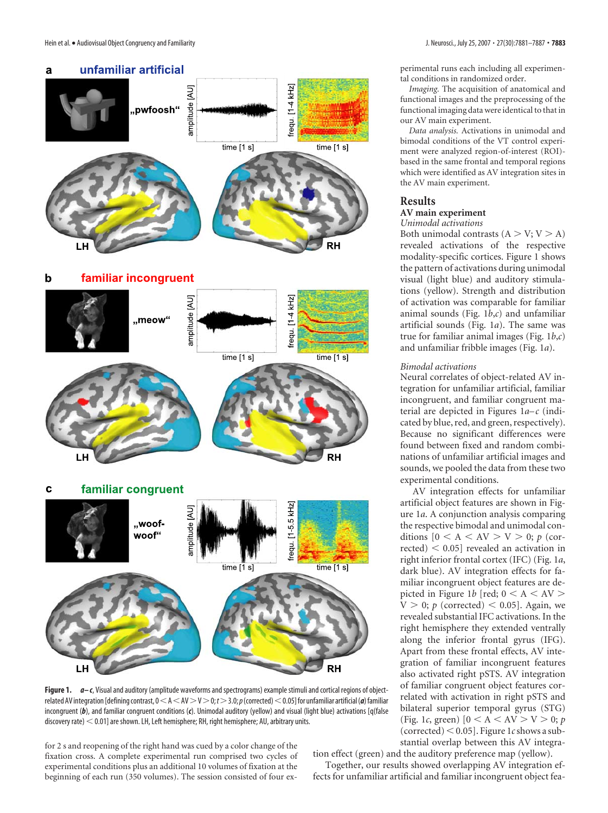

**Figure 1.** *a– c*, Visual and auditory (amplitude waveforms and spectrograms) example stimuli and cortical regions of objectrelated AV integration [defining contrast,  $0 < A < AV>V>0$ ;  $t > 3.0$ ; *p* (corrected)  $< 0.05$ ] for unfamiliar artificial (*a*) familiar incongruent (*b*), and familiar congruent conditions (*c*). Unimodal auditory (yellow) and visual (light blue) activations [q(false discovery rate)  $<$  0.01] are shown. LH, Left hemisphere; RH, right hemisphere; AU, arbitrary units.

for 2 s and reopening of the right hand was cued by a color change of the fixation cross. A complete experimental run comprised two cycles of experimental conditions plus an additional 10 volumes of fixation at the beginning of each run (350 volumes). The session consisted of four experimental runs each including all experimental conditions in randomized order.

*Imaging.* The acquisition of anatomical and functional images and the preprocessing of the functional imaging data were identical to that in our AV main experiment.

*Data analysis.* Activations in unimodal and bimodal conditions of the VT control experiment were analyzed region-of-interest (ROI) based in the same frontal and temporal regions which were identified as AV integration sites in the AV main experiment.

## **Results**

## **AV main experiment**

*Unimodal activations* Both unimodal contrasts  $(A > V; V > A)$ 

revealed activations of the respective modality-specific cortices. Figure 1 shows the pattern of activations during unimodal visual (light blue) and auditory stimulations (yellow). Strength and distribution of activation was comparable for familiar animal sounds (Fig. 1*b*,*c*) and unfamiliar artificial sounds (Fig. 1*a*). The same was true for familiar animal images (Fig. 1*b*,*c*) and unfamiliar fribble images (Fig. 1*a*).

#### *Bimodal activations*

Neural correlates of object-related AV integration for unfamiliar artificial, familiar incongruent, and familiar congruent material are depicted in Figures 1*a– c* (indicated by blue, red, and green, respectively). Because no significant differences were found between fixed and random combinations of unfamiliar artificial images and sounds, we pooled the data from these two experimental conditions.

AV integration effects for unfamiliar artificial object features are shown in Figure 1*a*. A conjunction analysis comparing the respective bimodal and unimodal conditions  $[0 < A < AV > V > 0$ ; *p* (cor $rected$ )  $< 0.05$ ] revealed an activation in right inferior frontal cortex (IFC) (Fig. 1*a*, dark blue). AV integration effects for familiar incongruent object features are depicted in Figure 1*b* [red;  $0 < A < AV$ )  $V > 0$ ; *p* (corrected)  $< 0.05$ ]. Again, we revealed substantial IFC activations. In the right hemisphere they extended ventrally along the inferior frontal gyrus (IFG). Apart from these frontal effects, AV integration of familiar incongruent features also activated right pSTS. AV integration of familiar congruent object features correlated with activation in right pSTS and bilateral superior temporal gyrus (STG) (Fig. 1*c*, green) [ $0 < A < AV > V > 0$ ; *p* (corrected)  $< 0.05$ ]. Figure 1*c* shows a substantial overlap between this AV integra-

tion effect (green) and the auditory preference map (yellow).

Together, our results showed overlapping AV integration effects for unfamiliar artificial and familiar incongruent object fea-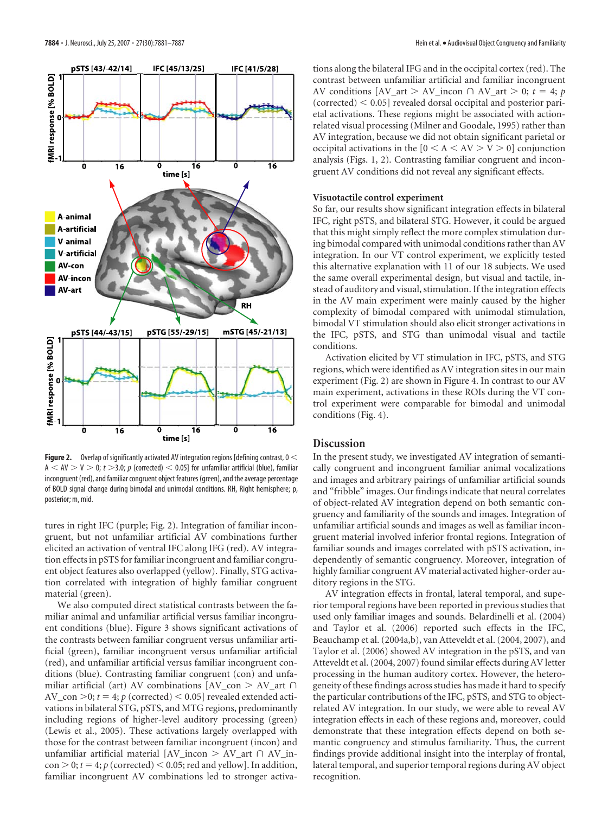

**Figure 2.** Overlap of significantly activated AV integration regions [defining contrast, 0 <  $A < AV > V > 0$ ;  $t > 3.0$ ;  $p$  (corrected)  $< 0.05$ ] for unfamiliar artificial (blue), familiar incongruent (red), and familiar congruent object features (green), and the average percentage of BOLD signal change during bimodal and unimodal conditions. RH, Right hemisphere; p, posterior; m, mid.

tures in right IFC (purple; Fig. 2). Integration of familiar incongruent, but not unfamiliar artificial AV combinations further elicited an activation of ventral IFC along IFG (red). AV integration effects in pSTS for familiar incongruent and familiar congruent object features also overlapped (yellow). Finally, STG activation correlated with integration of highly familiar congruent material (green).

We also computed direct statistical contrasts between the familiar animal and unfamiliar artificial versus familiar incongruent conditions (blue). Figure 3 shows significant activations of the contrasts between familiar congruent versus unfamiliar artificial (green), familiar incongruent versus unfamiliar artificial (red), and unfamiliar artificial versus familiar incongruent conditions (blue). Contrasting familiar congruent (con) and unfamiliar artificial (art) AV combinations  $\begin{bmatrix} AV & con \end{bmatrix}$  AV art  $\cap$ AV\_con >0;  $t = 4$ ;  $p$  (corrected)  $< 0.05$ ] revealed extended activations in bilateral STG, pSTS, and MTG regions, predominantly including regions of higher-level auditory processing (green) (Lewis et al., 2005). These activations largely overlapped with those for the contrast between familiar incongruent (incon) and unfamiliar artificial material [AV\_incon  $>$  AV\_art  $\cap$  AV\_in- $\text{con} > 0; t = 4; p \text{ (corrected)} < 0.05; \text{ red and yellow}.$  In addition, familiar incongruent AV combinations led to stronger activations along the bilateral IFG and in the occipital cortex (red). The contrast between unfamiliar artificial and familiar incongruent AV conditions  $\text{[AV_art} > \text{AV}_\text{incon} \cap \text{AV}_\text{art} > 0; t = 4; p$  $(corrected) < 0.05$ ] revealed dorsal occipital and posterior parietal activations. These regions might be associated with actionrelated visual processing (Milner and Goodale, 1995) rather than AV integration, because we did not obtain significant parietal or occipital activations in the  $[0 < A < AV > V > 0]$  conjunction analysis (Figs. 1, 2). Contrasting familiar congruent and incongruent AV conditions did not reveal any significant effects.

#### **Visuotactile control experiment**

So far, our results show significant integration effects in bilateral IFC, right pSTS, and bilateral STG. However, it could be argued that this might simply reflect the more complex stimulation during bimodal compared with unimodal conditions rather than AV integration. In our VT control experiment, we explicitly tested this alternative explanation with 11 of our 18 subjects. We used the same overall experimental design, but visual and tactile, instead of auditory and visual, stimulation. If the integration effects in the AV main experiment were mainly caused by the higher complexity of bimodal compared with unimodal stimulation, bimodal VT stimulation should also elicit stronger activations in the IFC, pSTS, and STG than unimodal visual and tactile conditions.

Activation elicited by VT stimulation in IFC, pSTS, and STG regions, which were identified as AV integration sites in our main experiment (Fig. 2) are shown in Figure 4. In contrast to our AV main experiment, activations in these ROIs during the VT control experiment were comparable for bimodal and unimodal conditions (Fig. 4).

## **Discussion**

In the present study, we investigated AV integration of semantically congruent and incongruent familiar animal vocalizations and images and arbitrary pairings of unfamiliar artificial sounds and "fribble" images. Our findings indicate that neural correlates of object-related AV integration depend on both semantic congruency and familiarity of the sounds and images. Integration of unfamiliar artificial sounds and images as well as familiar incongruent material involved inferior frontal regions. Integration of familiar sounds and images correlated with pSTS activation, independently of semantic congruency. Moreover, integration of highly familiar congruent AV material activated higher-order auditory regions in the STG.

AV integration effects in frontal, lateral temporal, and superior temporal regions have been reported in previous studies that used only familiar images and sounds. Belardinelli et al. (2004) and Taylor et al. (2006) reported such effects in the IFC, Beauchamp et al. (2004a,b), van Atteveldt et al. (2004, 2007), and Taylor et al. (2006) showed AV integration in the pSTS, and van Atteveldt et al. (2004, 2007) found similar effects during AV letter processing in the human auditory cortex. However, the heterogeneity of these findings across studies has made it hard to specify the particular contributions of the IFC, pSTS, and STG to objectrelated AV integration. In our study, we were able to reveal AV integration effects in each of these regions and, moreover, could demonstrate that these integration effects depend on both semantic congruency and stimulus familiarity. Thus, the current findings provide additional insight into the interplay of frontal, lateral temporal, and superior temporal regions during AV object recognition.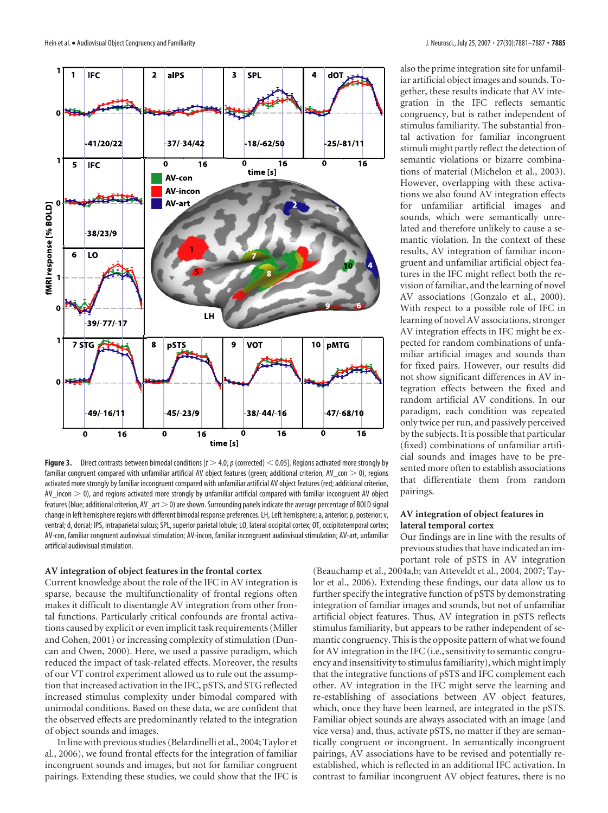

**Figure 3.** Direct contrasts between bimodal conditions [ $t > 4.0$ ;  $p$  (corrected)  $< 0.05$ ]. Regions activated more strongly by familiar congruent compared with unfamiliar artificial AV object features (green; additional criterion, AV\_con  $>$  0), regions activated more strongly by familiar incongruent compared with unfamiliar artificial AV object features (red; additional criterion, AV\_incon  $> 0$ ), and regions activated more strongly by unfamiliar artificial compared with familiar incongruent AV object features (blue; additional criterion, AV art  $>$  0) are shown. Surrounding panels indicate the average percentage of BOLD signal change in left hemisphere regions with different bimodal response preferences. LH, Left hemisphere; a, anterior; p, posterior; v, ventral; d, dorsal; IPS, intraparietal sulcus; SPL, superior parietal lobule; LO, lateral occipital cortex; OT, occipitotemporal cortex; AV-con, familiar congruent audiovisual stimulation; AV-incon, familiar incongruent audiovisual stimulation; AV-art, unfamiliar artificial audiovisual stimulation.

#### **AV integration of object features in the frontal cortex**

Current knowledge about the role of the IFC in AV integration is sparse, because the multifunctionality of frontal regions often makes it difficult to disentangle AV integration from other frontal functions. Particularly critical confounds are frontal activations caused by explicit or even implicit task requirements (Miller and Cohen, 2001) or increasing complexity of stimulation (Duncan and Owen, 2000). Here, we used a passive paradigm, which reduced the impact of task-related effects. Moreover, the results of our VT control experiment allowed us to rule out the assumption that increased activation in the IFC, pSTS, and STG reflected increased stimulus complexity under bimodal compared with unimodal conditions. Based on these data, we are confident that the observed effects are predominantly related to the integration of object sounds and images.

In line with previous studies (Belardinelli et al., 2004; Taylor et al., 2006), we found frontal effects for the integration of familiar incongruent sounds and images, but not for familiar congruent pairings. Extending these studies, we could show that the IFC is

also the prime integration site for unfamiliar artificial object images and sounds. Together, these results indicate that AV integration in the IFC reflects semantic congruency, but is rather independent of stimulus familiarity. The substantial frontal activation for familiar incongruent stimuli might partly reflect the detection of semantic violations or bizarre combinations of material (Michelon et al., 2003). However, overlapping with these activations we also found AV integration effects for unfamiliar artificial images and sounds, which were semantically unrelated and therefore unlikely to cause a semantic violation. In the context of these results, AV integration of familiar incongruent and unfamiliar artificial object features in the IFC might reflect both the revision of familiar, and the learning of novel AV associations (Gonzalo et al., 2000). With respect to a possible role of IFC in learning of novel AV associations, stronger AV integration effects in IFC might be expected for random combinations of unfamiliar artificial images and sounds than for fixed pairs. However, our results did not show significant differences in AV integration effects between the fixed and random artificial AV conditions. In our paradigm, each condition was repeated only twice per run, and passively perceived by the subjects. It is possible that particular (fixed) combinations of unfamiliar artificial sounds and images have to be presented more often to establish associations that differentiate them from random pairings.

#### **AV integration of object features in lateral temporal cortex**

Our findings are in line with the results of previous studies that have indicated an important role of pSTS in AV integration

(Beauchamp et al., 2004a,b; van Atteveldt et al., 2004, 2007; Taylor et al., 2006). Extending these findings, our data allow us to further specify the integrative function of pSTS by demonstrating integration of familiar images and sounds, but not of unfamiliar artificial object features. Thus, AV integration in pSTS reflects stimulus familiarity, but appears to be rather independent of semantic congruency. This is the opposite pattern of what we found for AV integration in the IFC (i.e., sensitivity to semantic congruency and insensitivity to stimulus familiarity), which might imply that the integrative functions of pSTS and IFC complement each other. AV integration in the IFC might serve the learning and re-establishing of associations between AV object features, which, once they have been learned, are integrated in the pSTS. Familiar object sounds are always associated with an image (and vice versa) and, thus, activate pSTS, no matter if they are semantically congruent or incongruent. In semantically incongruent pairings, AV associations have to be revised and potentially reestablished, which is reflected in an additional IFC activation. In contrast to familiar incongruent AV object features, there is no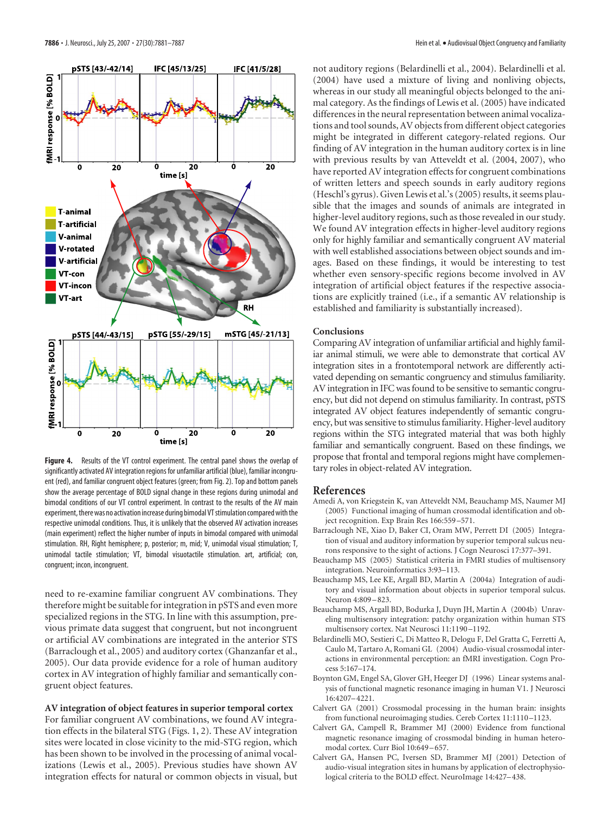

**Figure 4.** Results of the VT control experiment. The central panel shows the overlap of significantly activated AV integration regions for unfamiliar artificial (blue), familiar incongruent (red), and familiar congruent object features (green; from Fig. 2). Top and bottom panels show the average percentage of BOLD signal change in these regions during unimodal and bimodal conditions of our VT control experiment. In contrast to the results of the AV main experiment, there was no activation increase during bimodal VT stimulation compared with the respective unimodal conditions. Thus, it is unlikely that the observed AV activation increases (main experiment) reflect the higher number of inputs in bimodal compared with unimodal stimulation. RH, Right hemisphere; p, posterior; m, mid; V, unimodal visual stimulation; T, unimodal tactile stimulation; VT, bimodal visuotactile stimulation. art, artificial; con, congruent; incon, incongruent.

need to re-examine familiar congruent AV combinations. They therefore might be suitable for integration in pSTS and even more specialized regions in the STG. In line with this assumption, previous primate data suggest that congruent, but not incongruent or artificial AV combinations are integrated in the anterior STS (Barraclough et al., 2005) and auditory cortex (Ghanzanfar et al., 2005). Our data provide evidence for a role of human auditory cortex in AV integration of highly familiar and semantically congruent object features.

## **AV integration of object features in superior temporal cortex**

For familiar congruent AV combinations, we found AV integration effects in the bilateral STG (Figs. 1, 2). These AV integration sites were located in close vicinity to the mid-STG region, which has been shown to be involved in the processing of animal vocalizations (Lewis et al., 2005). Previous studies have shown AV integration effects for natural or common objects in visual, but

not auditory regions (Belardinelli et al., 2004). Belardinelli et al. (2004) have used a mixture of living and nonliving objects, whereas in our study all meaningful objects belonged to the animal category. As the findings of Lewis et al. (2005) have indicated differences in the neural representation between animal vocalizations and tool sounds, AV objects from different object categories might be integrated in different category-related regions. Our finding of AV integration in the human auditory cortex is in line with previous results by van Atteveldt et al. (2004, 2007), who have reported AV integration effects for congruent combinations of written letters and speech sounds in early auditory regions (Heschl's gyrus). Given Lewis et al.'s (2005) results, it seems plausible that the images and sounds of animals are integrated in higher-level auditory regions, such as those revealed in our study. We found AV integration effects in higher-level auditory regions only for highly familiar and semantically congruent AV material with well established associations between object sounds and images. Based on these findings, it would be interesting to test whether even sensory-specific regions become involved in AV integration of artificial object features if the respective associations are explicitly trained (i.e., if a semantic AV relationship is established and familiarity is substantially increased).

#### **Conclusions**

Comparing AV integration of unfamiliar artificial and highly familiar animal stimuli, we were able to demonstrate that cortical AV integration sites in a frontotemporal network are differently activated depending on semantic congruency and stimulus familiarity. AV integration in IFC was found to be sensitive to semantic congruency, but did not depend on stimulus familiarity. In contrast, pSTS integrated AV object features independently of semantic congruency, but was sensitive to stimulus familiarity. Higher-level auditory regions within the STG integrated material that was both highly familiar and semantically congruent. Based on these findings, we propose that frontal and temporal regions might have complementary roles in object-related AV integration.

#### **References**

- Amedi A, von Kriegstein K, van Atteveldt NM, Beauchamp MS, Naumer MJ (2005) Functional imaging of human crossmodal identification and object recognition. Exp Brain Res 166:559 –571.
- Barraclough NE, Xiao D, Baker CI, Oram MW, Perrett DI (2005) Integration of visual and auditory information by superior temporal sulcus neurons responsive to the sight of actions. J Cogn Neurosci 17:377–391.
- Beauchamp MS (2005) Statistical criteria in FMRI studies of multisensory integration. Neuroinformatics 3:93–113.
- Beauchamp MS, Lee KE, Argall BD, Martin A (2004a) Integration of auditory and visual information about objects in superior temporal sulcus. Neuron 4:809-823.
- Beauchamp MS, Argall BD, Bodurka J, Duyn JH, Martin A (2004b) Unraveling multisensory integration: patchy organization within human STS multisensory cortex. Nat Neurosci 11:1190 –1192.
- Belardinelli MO, Sestieri C, Di Matteo R, Delogu F, Del Gratta C, Ferretti A, Caulo M, Tartaro A, Romani GL (2004) Audio-visual crossmodal interactions in environmental perception: an fMRI investigation. Cogn Process 5:167–174.
- Boynton GM, Engel SA, Glover GH, Heeger DJ (1996) Linear systems analysis of functional magnetic resonance imaging in human V1. J Neurosci 16:4207–4221.
- Calvert GA (2001) Crossmodal processing in the human brain: insights from functional neuroimaging studies. Cereb Cortex 11:1110 –1123.
- Calvert GA, Campell R, Brammer MJ (2000) Evidence from functional magnetic resonance imaging of crossmodal binding in human heteromodal cortex. Curr Biol 10:649 –657.
- Calvert GA, Hansen PC, Iversen SD, Brammer MJ (2001) Detection of audio-visual integration sites in humans by application of electrophysiological criteria to the BOLD effect. NeuroImage 14:427–438.